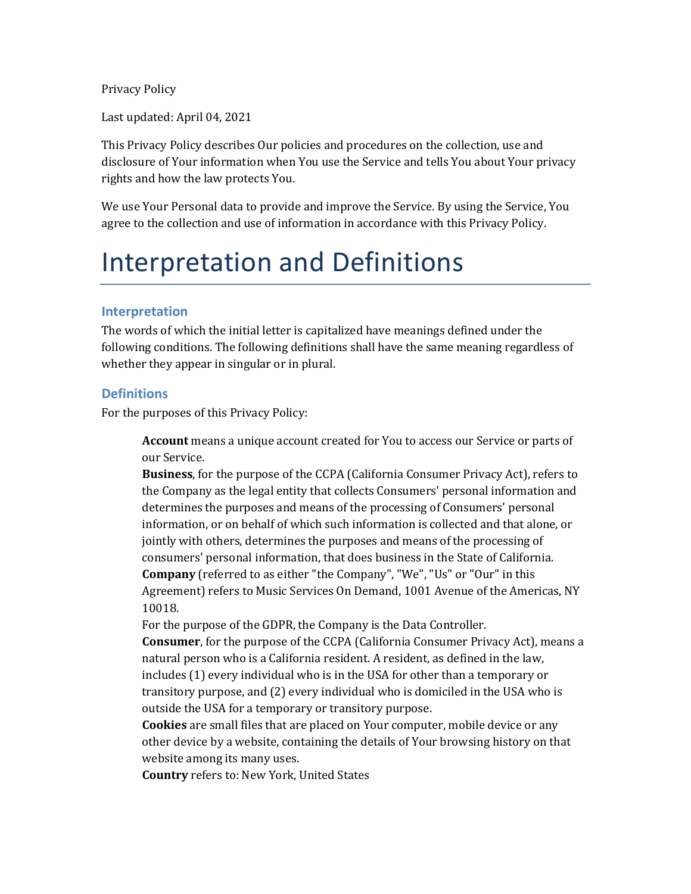Privacy Policy

Last updated: April 04, 2021

This Privacy Policy describes Our policies and procedures on the collection, use and disclosure of Your information when You use the Service and tells You about Your privacy rights and how the law protects You.

We use Your Personal data to provide and improve the Service. By using the Service, You agree to the collection and use of information in accordance with this Privacy Policy.

# Interpretation and Definitions

#### **Interpretation**

The words of which the initial letter is capitalized have meanings defined under the following conditions. The following definitions shall have the same meaning regardless of whether they appear in singular or in plural.

#### **Definitions**

For the purposes of this Privacy Policy:

**Account** means a unique account created for You to access our Service or parts of our Service.

**Business**, for the purpose of the CCPA (California Consumer Privacy Act), refers to the Company as the legal entity that collects Consumers' personal information and determines the purposes and means of the processing of Consumers' personal information, or on behalf of which such information is collected and that alone, or jointly with others, determines the purposes and means of the processing of consumers' personal information, that does business in the State of California. **Company** (referred to as either "the Company", "We", "Us" or "Our" in this Agreement) refers to Music Services On Demand, 1001 Avenue of the Americas, NY 10018.

For the purpose of the GDPR, the Company is the Data Controller.

**Consumer**, for the purpose of the CCPA (California Consumer Privacy Act), means a natural person who is a California resident. A resident, as defined in the law, includes (1) every individual who is in the USA for other than a temporary or transitory purpose, and (2) every individual who is domiciled in the USA who is outside the USA for a temporary or transitory purpose.

**Cookies** are small files that are placed on Your computer, mobile device or any other device by a website, containing the details of Your browsing history on that website among its many uses.

**Country** refers to: New York, United States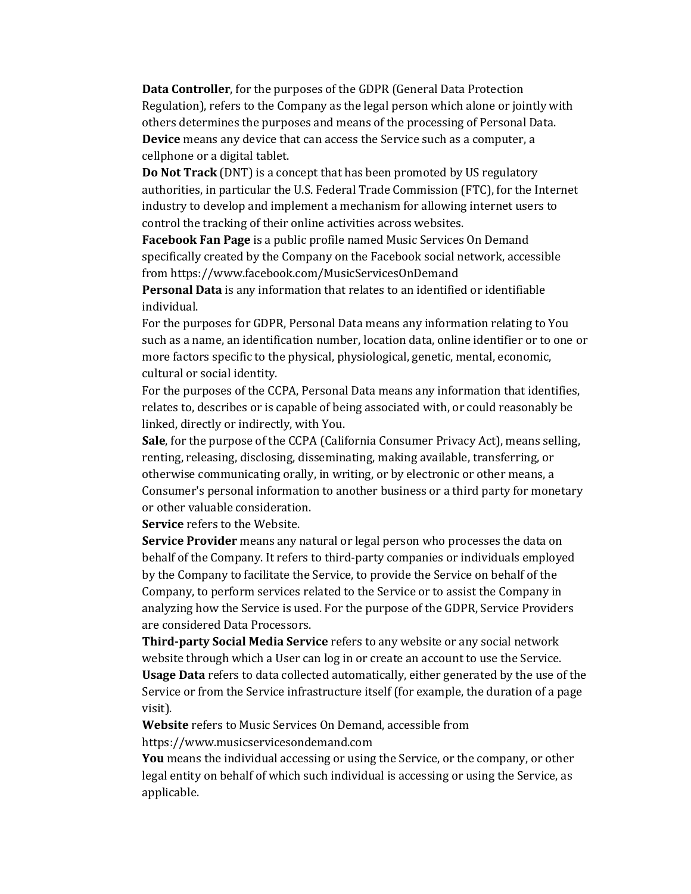**Data Controller**, for the purposes of the GDPR (General Data Protection Regulation), refers to the Company as the legal person which alone or jointly with others determines the purposes and means of the processing of Personal Data. **Device** means any device that can access the Service such as a computer, a cellphone or a digital tablet.

**Do Not Track** (DNT) is a concept that has been promoted by US regulatory authorities, in particular the U.S. Federal Trade Commission (FTC), for the Internet industry to develop and implement a mechanism for allowing internet users to control the tracking of their online activities across websites.

**Facebook Fan Page** is a public profile named Music Services On Demand specifically created by the Company on the Facebook social network, accessible from<https://www.facebook.com/MusicServicesOnDemand>

**Personal Data** is any information that relates to an identified or identifiable individual.

For the purposes for GDPR, Personal Data means any information relating to You such as a name, an identification number, location data, online identifier or to one or more factors specific to the physical, physiological, genetic, mental, economic, cultural or social identity.

For the purposes of the CCPA, Personal Data means any information that identifies, relates to, describes or is capable of being associated with, or could reasonably be linked, directly or indirectly, with You.

**Sale**, for the purpose of the CCPA (California Consumer Privacy Act), means selling, renting, releasing, disclosing, disseminating, making available, transferring, or otherwise communicating orally, in writing, or by electronic or other means, a Consumer's personal information to another business or a third party for monetary or other valuable consideration.

**Service** refers to the Website.

**Service Provider** means any natural or legal person who processes the data on behalf of the Company. It refers to third-party companies or individuals employed by the Company to facilitate the Service, to provide the Service on behalf of the Company, to perform services related to the Service or to assist the Company in analyzing how the Service is used. For the purpose of the GDPR, Service Providers are considered Data Processors.

**Third-party Social Media Service** refers to any website or any social network website through which a User can log in or create an account to use the Service. **Usage Data** refers to data collected automatically, either generated by the use of the Service or from the Service infrastructure itself (for example, the duration of a page visit).

**Website** refers to Music Services On Demand, accessible from [https://www.musicservicesondemand.com](https://www.musicservicesondemand.com/)

**You** means the individual accessing or using the Service, or the company, or other legal entity on behalf of which such individual is accessing or using the Service, as applicable.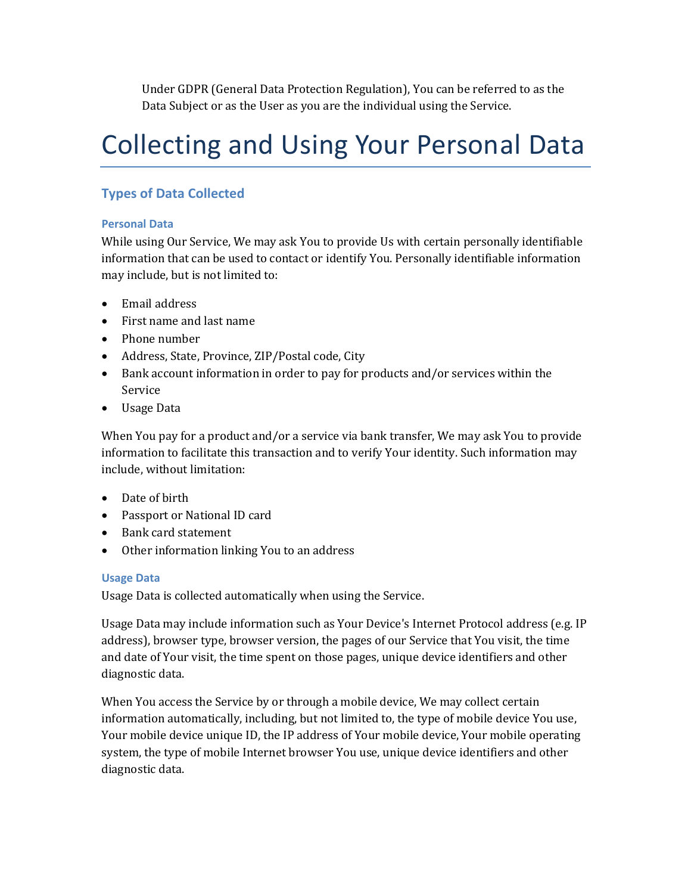Under GDPR (General Data Protection Regulation), You can be referred to as the Data Subject or as the User as you are the individual using the Service.

# Collecting and Using Your Personal Data

# **Types of Data Collected**

#### **Personal Data**

While using Our Service, We may ask You to provide Us with certain personally identifiable information that can be used to contact or identify You. Personally identifiable information may include, but is not limited to:

- Email address
- First name and last name
- Phone number
- Address, State, Province, ZIP/Postal code, City
- Bank account information in order to pay for products and/or services within the Service
- Usage Data

When You pay for a product and/or a service via bank transfer, We may ask You to provide information to facilitate this transaction and to verify Your identity. Such information may include, without limitation:

- Date of birth
- Passport or National ID card
- Bank card statement
- Other information linking You to an address

#### **Usage Data**

Usage Data is collected automatically when using the Service.

Usage Data may include information such as Your Device's Internet Protocol address (e.g. IP address), browser type, browser version, the pages of our Service that You visit, the time and date of Your visit, the time spent on those pages, unique device identifiers and other diagnostic data.

When You access the Service by or through a mobile device, We may collect certain information automatically, including, but not limited to, the type of mobile device You use, Your mobile device unique ID, the IP address of Your mobile device, Your mobile operating system, the type of mobile Internet browser You use, unique device identifiers and other diagnostic data.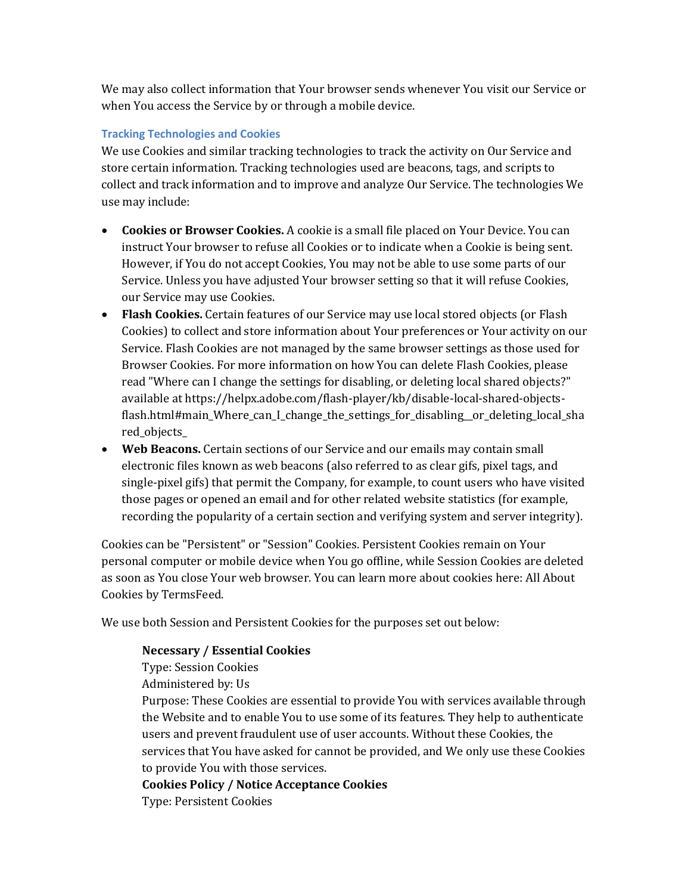We may also collect information that Your browser sends whenever You visit our Service or when You access the Service by or through a mobile device.

#### **Tracking Technologies and Cookies**

We use Cookies and similar tracking technologies to track the activity on Our Service and store certain information. Tracking technologies used are beacons, tags, and scripts to collect and track information and to improve and analyze Our Service. The technologies We use may include:

- **Cookies or Browser Cookies.** A cookie is a small file placed on Your Device. You can instruct Your browser to refuse all Cookies or to indicate when a Cookie is being sent. However, if You do not accept Cookies, You may not be able to use some parts of our Service. Unless you have adjusted Your browser setting so that it will refuse Cookies, our Service may use Cookies.
- **Flash Cookies.** Certain features of our Service may use local stored objects (or Flash Cookies) to collect and store information about Your preferences or Your activity on our Service. Flash Cookies are not managed by the same browser settings as those used for Browser Cookies. For more information on how You can delete Flash Cookies, please read "Where can I change the settings for disabling, or deleting local shared objects?" available at [https://helpx.adobe.com/flash-player/kb/disable-local-shared-objects](https://helpx.adobe.com/flash-player/kb/disable-local-shared-objects-flash.html#main_Where_can_I_change_the_settings_for_disabling__or_deleting_local_shared_objects_)[flash.html#main\\_Where\\_can\\_I\\_change\\_the\\_settings\\_for\\_disabling\\_\\_or\\_deleting\\_local\\_sha](https://helpx.adobe.com/flash-player/kb/disable-local-shared-objects-flash.html#main_Where_can_I_change_the_settings_for_disabling__or_deleting_local_shared_objects_) [red\\_objects\\_](https://helpx.adobe.com/flash-player/kb/disable-local-shared-objects-flash.html#main_Where_can_I_change_the_settings_for_disabling__or_deleting_local_shared_objects_)
- **Web Beacons.** Certain sections of our Service and our emails may contain small electronic files known as web beacons (also referred to as clear gifs, pixel tags, and single-pixel gifs) that permit the Company, for example, to count users who have visited those pages or opened an email and for other related website statistics (for example, recording the popularity of a certain section and verifying system and server integrity).

Cookies can be "Persistent" or "Session" Cookies. Persistent Cookies remain on Your personal computer or mobile device when You go offline, while Session Cookies are deleted as soon as You close Your web browser. You can learn more about cookies here: [All About](https://www.termsfeed.com/blog/cookies/)  [Cookies by TermsFeed.](https://www.termsfeed.com/blog/cookies/)

We use both Session and Persistent Cookies for the purposes set out below:

#### **Necessary / Essential Cookies**

Type: Session Cookies

Administered by: Us

Purpose: These Cookies are essential to provide You with services available through the Website and to enable You to use some of its features. They help to authenticate users and prevent fraudulent use of user accounts. Without these Cookies, the services that You have asked for cannot be provided, and We only use these Cookies to provide You with those services.

**Cookies Policy / Notice Acceptance Cookies**

Type: Persistent Cookies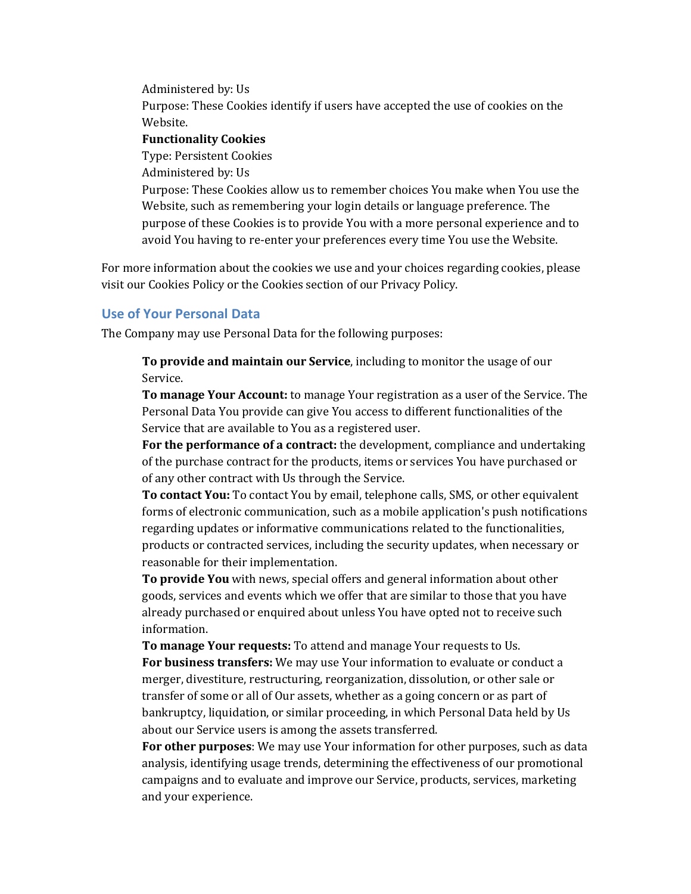Administered by: Us Purpose: These Cookies identify if users have accepted the use of cookies on the Website.

#### **Functionality Cookies**

Type: Persistent Cookies

Administered by: Us

Purpose: These Cookies allow us to remember choices You make when You use the Website, such as remembering your login details or language preference. The purpose of these Cookies is to provide You with a more personal experience and to avoid You having to re-enter your preferences every time You use the Website.

For more information about the cookies we use and your choices regarding cookies, please visit our Cookies Policy or the Cookies section of our Privacy Policy.

#### **Use of Your Personal Data**

The Company may use Personal Data for the following purposes:

**To provide and maintain our Service**, including to monitor the usage of our Service.

**To manage Your Account:** to manage Your registration as a user of the Service. The Personal Data You provide can give You access to different functionalities of the Service that are available to You as a registered user.

**For the performance of a contract:** the development, compliance and undertaking of the purchase contract for the products, items or services You have purchased or of any other contract with Us through the Service.

**To contact You:** To contact You by email, telephone calls, SMS, or other equivalent forms of electronic communication, such as a mobile application's push notifications regarding updates or informative communications related to the functionalities, products or contracted services, including the security updates, when necessary or reasonable for their implementation.

**To provide You** with news, special offers and general information about other goods, services and events which we offer that are similar to those that you have already purchased or enquired about unless You have opted not to receive such information.

**To manage Your requests:** To attend and manage Your requests to Us. **For business transfers:** We may use Your information to evaluate or conduct a merger, divestiture, restructuring, reorganization, dissolution, or other sale or transfer of some or all of Our assets, whether as a going concern or as part of bankruptcy, liquidation, or similar proceeding, in which Personal Data held by Us about our Service users is among the assets transferred.

**For other purposes**: We may use Your information for other purposes, such as data analysis, identifying usage trends, determining the effectiveness of our promotional campaigns and to evaluate and improve our Service, products, services, marketing and your experience.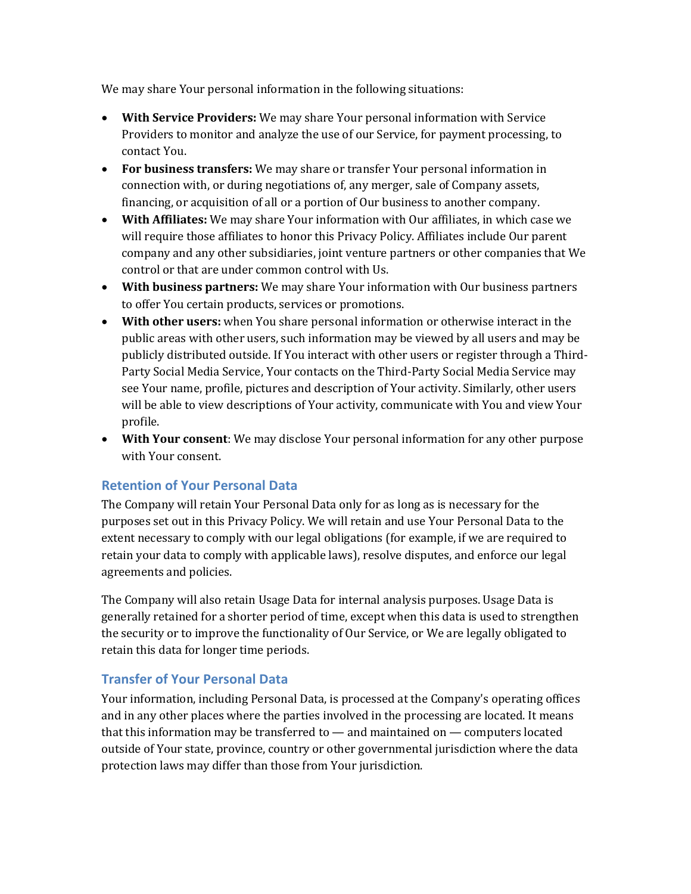We may share Your personal information in the following situations:

- **With Service Providers:** We may share Your personal information with Service Providers to monitor and analyze the use of our Service, for payment processing, to contact You.
- **For business transfers:** We may share or transfer Your personal information in connection with, or during negotiations of, any merger, sale of Company assets, financing, or acquisition of all or a portion of Our business to another company.
- **With Affiliates:** We may share Your information with Our affiliates, in which case we will require those affiliates to honor this Privacy Policy. Affiliates include Our parent company and any other subsidiaries, joint venture partners or other companies that We control or that are under common control with Us.
- **With business partners:** We may share Your information with Our business partners to offer You certain products, services or promotions.
- **With other users:** when You share personal information or otherwise interact in the public areas with other users, such information may be viewed by all users and may be publicly distributed outside. If You interact with other users or register through a Third-Party Social Media Service, Your contacts on the Third-Party Social Media Service may see Your name, profile, pictures and description of Your activity. Similarly, other users will be able to view descriptions of Your activity, communicate with You and view Your profile.
- **With Your consent**: We may disclose Your personal information for any other purpose with Your consent.

### **Retention of Your Personal Data**

The Company will retain Your Personal Data only for as long as is necessary for the purposes set out in this Privacy Policy. We will retain and use Your Personal Data to the extent necessary to comply with our legal obligations (for example, if we are required to retain your data to comply with applicable laws), resolve disputes, and enforce our legal agreements and policies.

The Company will also retain Usage Data for internal analysis purposes. Usage Data is generally retained for a shorter period of time, except when this data is used to strengthen the security or to improve the functionality of Our Service, or We are legally obligated to retain this data for longer time periods.

### **Transfer of Your Personal Data**

Your information, including Personal Data, is processed at the Company's operating offices and in any other places where the parties involved in the processing are located. It means that this information may be transferred to — and maintained on — computers located outside of Your state, province, country or other governmental jurisdiction where the data protection laws may differ than those from Your jurisdiction.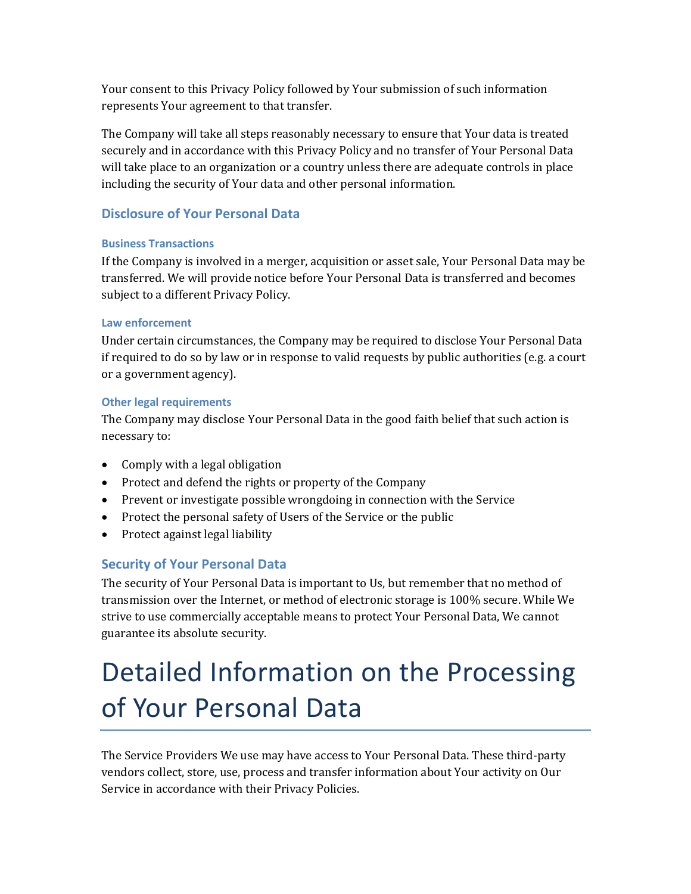Your consent to this Privacy Policy followed by Your submission of such information represents Your agreement to that transfer.

The Company will take all steps reasonably necessary to ensure that Your data is treated securely and in accordance with this Privacy Policy and no transfer of Your Personal Data will take place to an organization or a country unless there are adequate controls in place including the security of Your data and other personal information.

## **Disclosure of Your Personal Data**

#### **Business Transactions**

If the Company is involved in a merger, acquisition or asset sale, Your Personal Data may be transferred. We will provide notice before Your Personal Data is transferred and becomes subject to a different Privacy Policy.

#### **Law enforcement**

Under certain circumstances, the Company may be required to disclose Your Personal Data if required to do so by law or in response to valid requests by public authorities (e.g. a court or a government agency).

#### **Other legal requirements**

The Company may disclose Your Personal Data in the good faith belief that such action is necessary to:

- Comply with a legal obligation
- Protect and defend the rights or property of the Company
- Prevent or investigate possible wrongdoing in connection with the Service
- Protect the personal safety of Users of the Service or the public
- Protect against legal liability

### **Security of Your Personal Data**

The security of Your Personal Data is important to Us, but remember that no method of transmission over the Internet, or method of electronic storage is 100% secure. While We strive to use commercially acceptable means to protect Your Personal Data, We cannot guarantee its absolute security.

# Detailed Information on the Processing of Your Personal Data

The Service Providers We use may have access to Your Personal Data. These third-party vendors collect, store, use, process and transfer information about Your activity on Our Service in accordance with their Privacy Policies.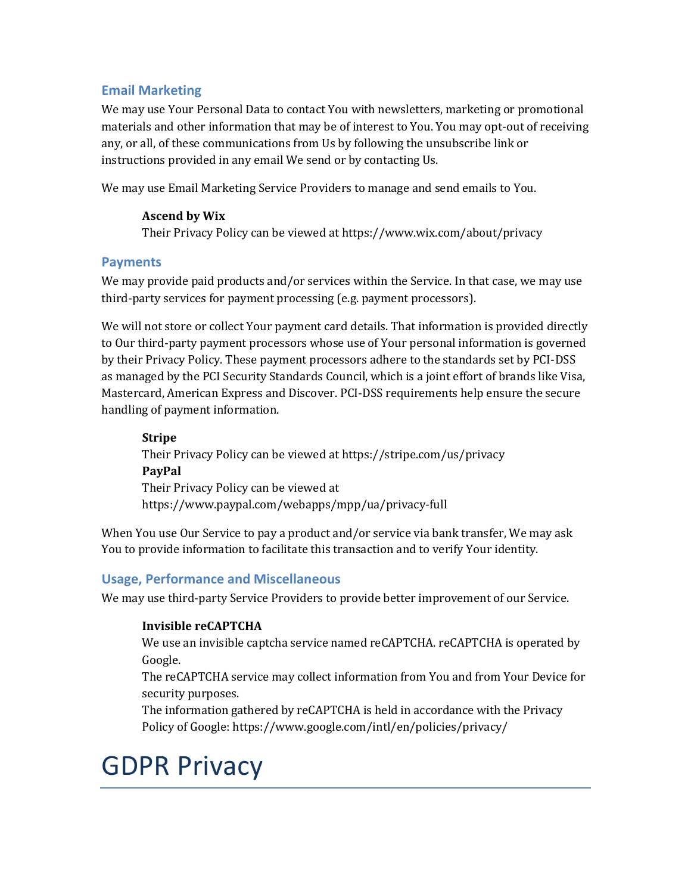## **Email Marketing**

We may use Your Personal Data to contact You with newsletters, marketing or promotional materials and other information that may be of interest to You. You may opt-out of receiving any, or all, of these communications from Us by following the unsubscribe link or instructions provided in any email We send or by contacting Us.

We may use Email Marketing Service Providers to manage and send emails to You.

#### **Ascend by Wix** Their Privacy Policy can be viewed at<https://www.wix.com/about/privacy>

### **Payments**

We may provide paid products and/or services within the Service. In that case, we may use third-party services for payment processing (e.g. payment processors).

We will not store or collect Your payment card details. That information is provided directly to Our third-party payment processors whose use of Your personal information is governed by their Privacy Policy. These payment processors adhere to the standards set by PCI-DSS as managed by the PCI Security Standards Council, which is a joint effort of brands like Visa, Mastercard, American Express and Discover. PCI-DSS requirements help ensure the secure handling of payment information.

**Stripe** Their Privacy Policy can be viewed at<https://stripe.com/us/privacy> **PayPal** Their Privacy Policy can be viewed at <https://www.paypal.com/webapps/mpp/ua/privacy-full>

When You use Our Service to pay a product and/or service via bank transfer, We may ask You to provide information to facilitate this transaction and to verify Your identity.

### **Usage, Performance and Miscellaneous**

We may use third-party Service Providers to provide better improvement of our Service.

#### **Invisible reCAPTCHA**

We use an invisible captcha service named reCAPTCHA. reCAPTCHA is operated by Google.

The reCAPTCHA service may collect information from You and from Your Device for security purposes.

The information gathered by reCAPTCHA is held in accordance with the Privacy Policy of Google:<https://www.google.com/intl/en/policies/privacy/>

# GDPR Privacy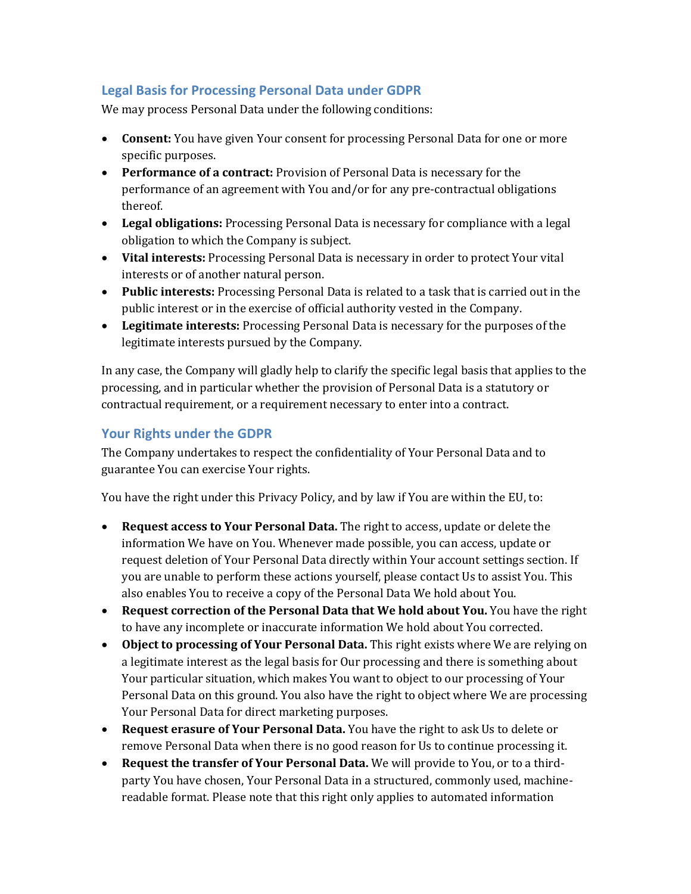## **Legal Basis for Processing Personal Data under GDPR**

We may process Personal Data under the following conditions:

- **Consent:** You have given Your consent for processing Personal Data for one or more specific purposes.
- **Performance of a contract:** Provision of Personal Data is necessary for the performance of an agreement with You and/or for any pre-contractual obligations thereof.
- **Legal obligations:** Processing Personal Data is necessary for compliance with a legal obligation to which the Company is subject.
- **Vital interests:** Processing Personal Data is necessary in order to protect Your vital interests or of another natural person.
- **Public interests:** Processing Personal Data is related to a task that is carried out in the public interest or in the exercise of official authority vested in the Company.
- **Legitimate interests:** Processing Personal Data is necessary for the purposes of the legitimate interests pursued by the Company.

In any case, the Company will gladly help to clarify the specific legal basis that applies to the processing, and in particular whether the provision of Personal Data is a statutory or contractual requirement, or a requirement necessary to enter into a contract.

### **Your Rights under the GDPR**

The Company undertakes to respect the confidentiality of Your Personal Data and to guarantee You can exercise Your rights.

You have the right under this Privacy Policy, and by law if You are within the EU, to:

- **Request access to Your Personal Data.** The right to access, update or delete the information We have on You. Whenever made possible, you can access, update or request deletion of Your Personal Data directly within Your account settings section. If you are unable to perform these actions yourself, please contact Us to assist You. This also enables You to receive a copy of the Personal Data We hold about You.
- **Request correction of the Personal Data that We hold about You.** You have the right to have any incomplete or inaccurate information We hold about You corrected.
- **Object to processing of Your Personal Data.** This right exists where We are relying on a legitimate interest as the legal basis for Our processing and there is something about Your particular situation, which makes You want to object to our processing of Your Personal Data on this ground. You also have the right to object where We are processing Your Personal Data for direct marketing purposes.
- **Request erasure of Your Personal Data.** You have the right to ask Us to delete or remove Personal Data when there is no good reason for Us to continue processing it.
- **Request the transfer of Your Personal Data.** We will provide to You, or to a thirdparty You have chosen, Your Personal Data in a structured, commonly used, machinereadable format. Please note that this right only applies to automated information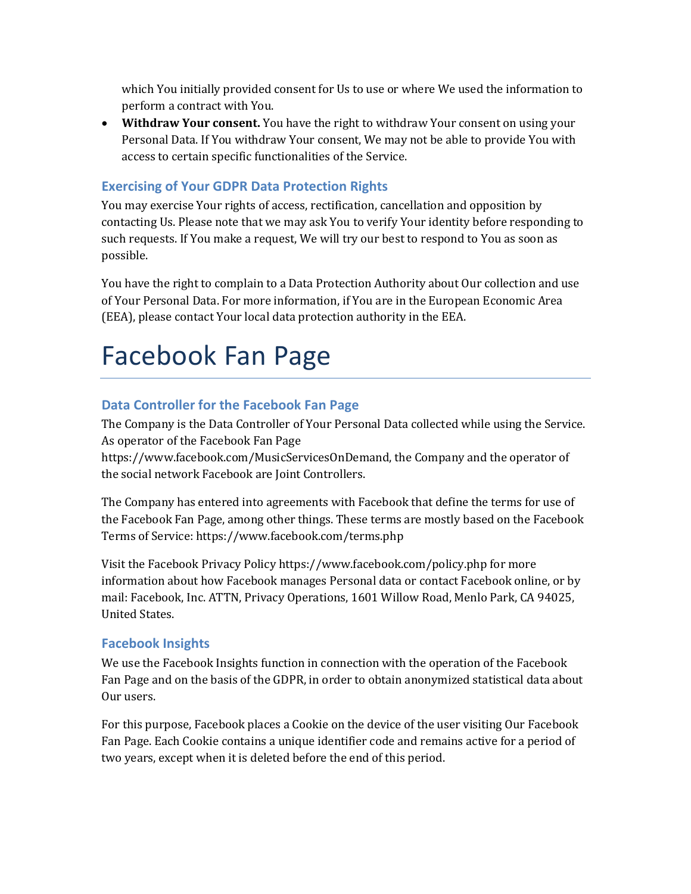which You initially provided consent for Us to use or where We used the information to perform a contract with You.

• **Withdraw Your consent.** You have the right to withdraw Your consent on using your Personal Data. If You withdraw Your consent, We may not be able to provide You with access to certain specific functionalities of the Service.

# **Exercising of Your GDPR Data Protection Rights**

You may exercise Your rights of access, rectification, cancellation and opposition by contacting Us. Please note that we may ask You to verify Your identity before responding to such requests. If You make a request, We will try our best to respond to You as soon as possible.

You have the right to complain to a Data Protection Authority about Our collection and use of Your Personal Data. For more information, if You are in the European Economic Area (EEA), please contact Your local data protection authority in the EEA.

# Facebook Fan Page

## **Data Controller for the Facebook Fan Page**

The Company is the Data Controller of Your Personal Data collected while using the Service. As operator of the Facebook Fan Page

[https://www.facebook.com/MusicServicesOnDemand,](https://www.facebook.com/MusicServicesOnDemand) the Company and the operator of the social network Facebook are Joint Controllers.

The Company has entered into agreements with Facebook that define the terms for use of the Facebook Fan Page, among other things. These terms are mostly based on the Facebook Terms of Service:<https://www.facebook.com/terms.php>

Visit the Facebook Privacy Policy<https://www.facebook.com/policy.php> for more information about how Facebook manages Personal data or contact Facebook online, or by mail: Facebook, Inc. ATTN, Privacy Operations, 1601 Willow Road, Menlo Park, CA 94025, United States.

### **Facebook Insights**

We use the Facebook Insights function in connection with the operation of the Facebook Fan Page and on the basis of the GDPR, in order to obtain anonymized statistical data about Our users.

For this purpose, Facebook places a Cookie on the device of the user visiting Our Facebook Fan Page. Each Cookie contains a unique identifier code and remains active for a period of two years, except when it is deleted before the end of this period.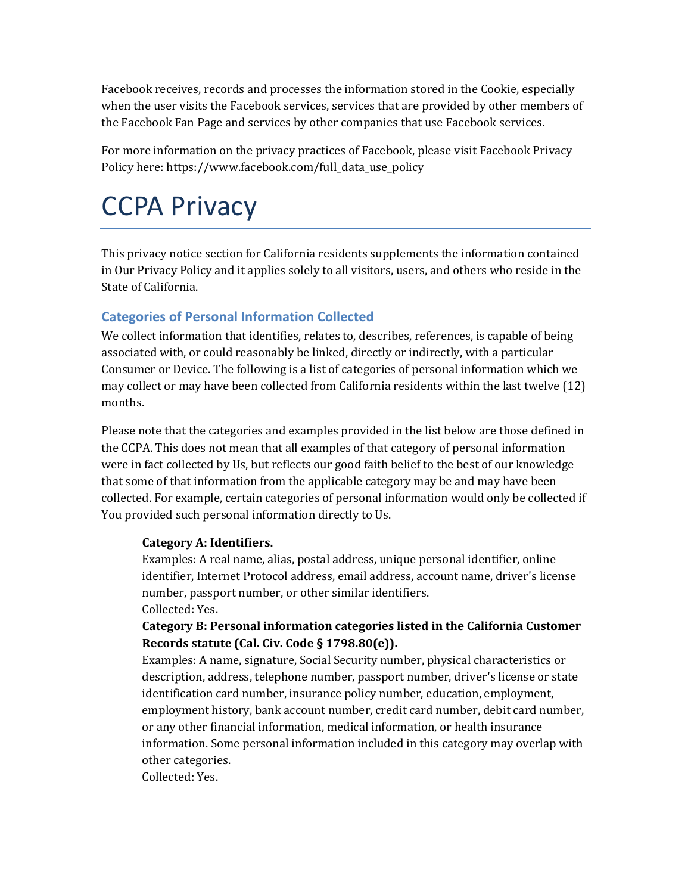Facebook receives, records and processes the information stored in the Cookie, especially when the user visits the Facebook services, services that are provided by other members of the Facebook Fan Page and services by other companies that use Facebook services.

For more information on the privacy practices of Facebook, please visit Facebook Privacy Policy here[: https://www.facebook.com/full\\_data\\_use\\_policy](https://www.facebook.com/full_data_use_policy)

# CCPA Privacy

This privacy notice section for California residents supplements the information contained in Our Privacy Policy and it applies solely to all visitors, users, and others who reside in the State of California.

## **Categories of Personal Information Collected**

We collect information that identifies, relates to, describes, references, is capable of being associated with, or could reasonably be linked, directly or indirectly, with a particular Consumer or Device. The following is a list of categories of personal information which we may collect or may have been collected from California residents within the last twelve (12) months.

Please note that the categories and examples provided in the list below are those defined in the CCPA. This does not mean that all examples of that category of personal information were in fact collected by Us, but reflects our good faith belief to the best of our knowledge that some of that information from the applicable category may be and may have been collected. For example, certain categories of personal information would only be collected if You provided such personal information directly to Us.

### **Category A: Identifiers.**

Examples: A real name, alias, postal address, unique personal identifier, online identifier, Internet Protocol address, email address, account name, driver's license number, passport number, or other similar identifiers. Collected: Yes.

## **Category B: Personal information categories listed in the California Customer Records statute (Cal. Civ. Code § 1798.80(e)).**

Examples: A name, signature, Social Security number, physical characteristics or description, address, telephone number, passport number, driver's license or state identification card number, insurance policy number, education, employment, employment history, bank account number, credit card number, debit card number, or any other financial information, medical information, or health insurance information. Some personal information included in this category may overlap with other categories.

Collected: Yes.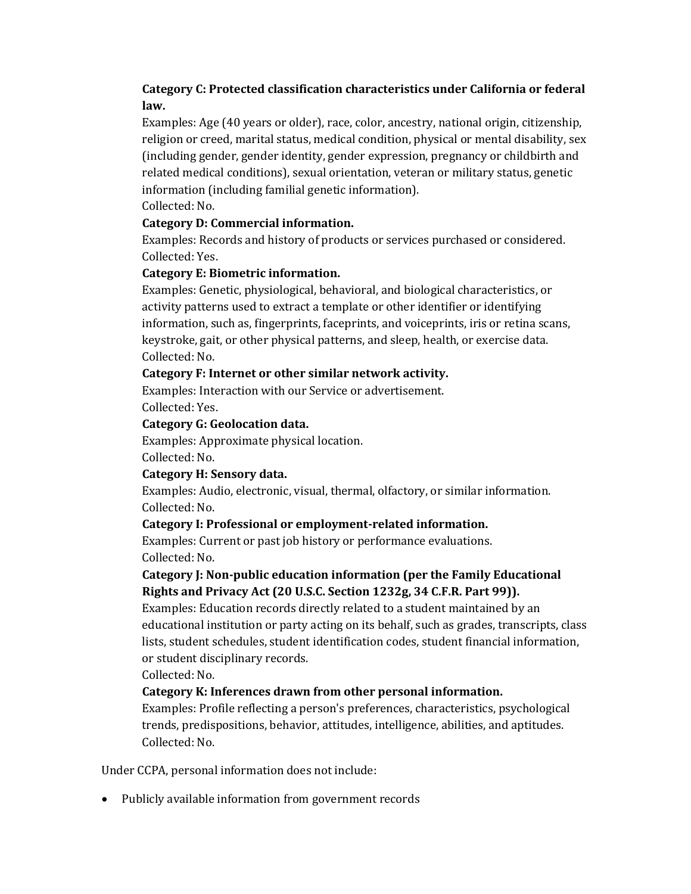## **Category C: Protected classification characteristics under California or federal law.**

Examples: Age (40 years or older), race, color, ancestry, national origin, citizenship, religion or creed, marital status, medical condition, physical or mental disability, sex (including gender, gender identity, gender expression, pregnancy or childbirth and related medical conditions), sexual orientation, veteran or military status, genetic information (including familial genetic information).

Collected: No.

#### **Category D: Commercial information.**

Examples: Records and history of products or services purchased or considered. Collected: Yes.

#### **Category E: Biometric information.**

Examples: Genetic, physiological, behavioral, and biological characteristics, or activity patterns used to extract a template or other identifier or identifying information, such as, fingerprints, faceprints, and voiceprints, iris or retina scans, keystroke, gait, or other physical patterns, and sleep, health, or exercise data. Collected: No.

#### **Category F: Internet or other similar network activity.**

Examples: Interaction with our Service or advertisement. Collected: Yes.

#### **Category G: Geolocation data.**

Examples: Approximate physical location. Collected: No.

### **Category H: Sensory data.**

Examples: Audio, electronic, visual, thermal, olfactory, or similar information. Collected: No.

### **Category I: Professional or employment-related information.**

Examples: Current or past job history or performance evaluations. Collected: No.

## **Category J: Non-public education information (per the Family Educational Rights and Privacy Act (20 U.S.C. Section 1232g, 34 C.F.R. Part 99)).**

Examples: Education records directly related to a student maintained by an educational institution or party acting on its behalf, such as grades, transcripts, class lists, student schedules, student identification codes, student financial information, or student disciplinary records.

Collected: No.

### **Category K: Inferences drawn from other personal information.**

Examples: Profile reflecting a person's preferences, characteristics, psychological trends, predispositions, behavior, attitudes, intelligence, abilities, and aptitudes. Collected: No.

Under CCPA, personal information does not include:

• Publicly available information from government records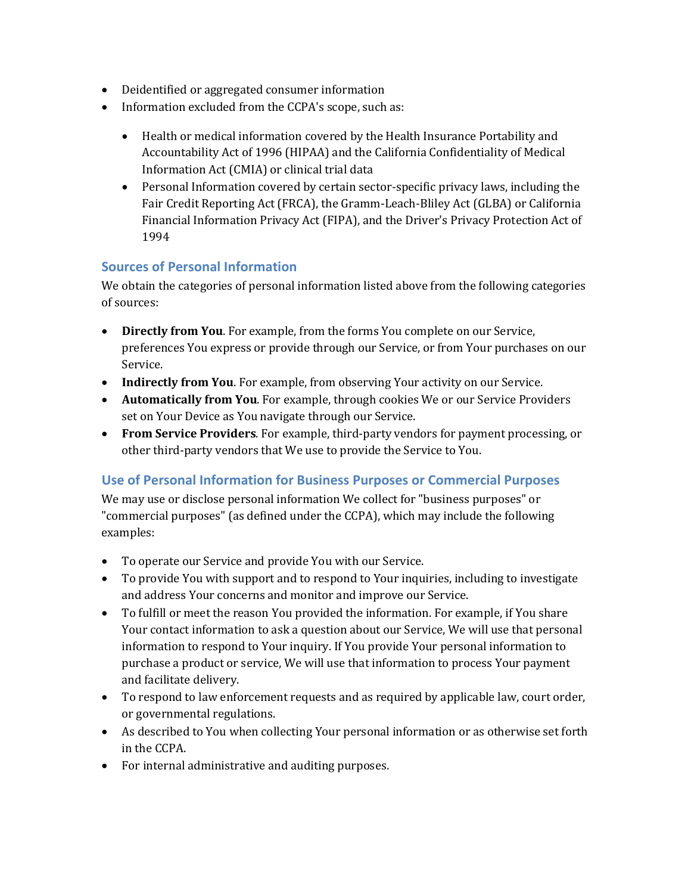- Deidentified or aggregated consumer information
- Information excluded from the CCPA's scope, such as:
	- Health or medical information covered by the Health Insurance Portability and Accountability Act of 1996 (HIPAA) and the California Confidentiality of Medical Information Act (CMIA) or clinical trial data
	- Personal Information covered by certain sector-specific privacy laws, including the Fair Credit Reporting Act (FRCA), the Gramm-Leach-Bliley Act (GLBA) or California Financial Information Privacy Act (FIPA), and the Driver's Privacy Protection Act of 1994

### **Sources of Personal Information**

We obtain the categories of personal information listed above from the following categories of sources:

- **Directly from You**. For example, from the forms You complete on our Service, preferences You express or provide through our Service, or from Your purchases on our Service.
- **Indirectly from You**. For example, from observing Your activity on our Service.
- **Automatically from You**. For example, through cookies We or our Service Providers set on Your Device as You navigate through our Service.
- **From Service Providers**. For example, third-party vendors for payment processing, or other third-party vendors that We use to provide the Service to You.

### **Use of Personal Information for Business Purposes or Commercial Purposes**

We may use or disclose personal information We collect for "business purposes" or "commercial purposes" (as defined under the CCPA), which may include the following examples:

- To operate our Service and provide You with our Service.
- To provide You with support and to respond to Your inquiries, including to investigate and address Your concerns and monitor and improve our Service.
- To fulfill or meet the reason You provided the information. For example, if You share Your contact information to ask a question about our Service, We will use that personal information to respond to Your inquiry. If You provide Your personal information to purchase a product or service, We will use that information to process Your payment and facilitate delivery.
- To respond to law enforcement requests and as required by applicable law, court order, or governmental regulations.
- As described to You when collecting Your personal information or as otherwise set forth in the CCPA.
- For internal administrative and auditing purposes.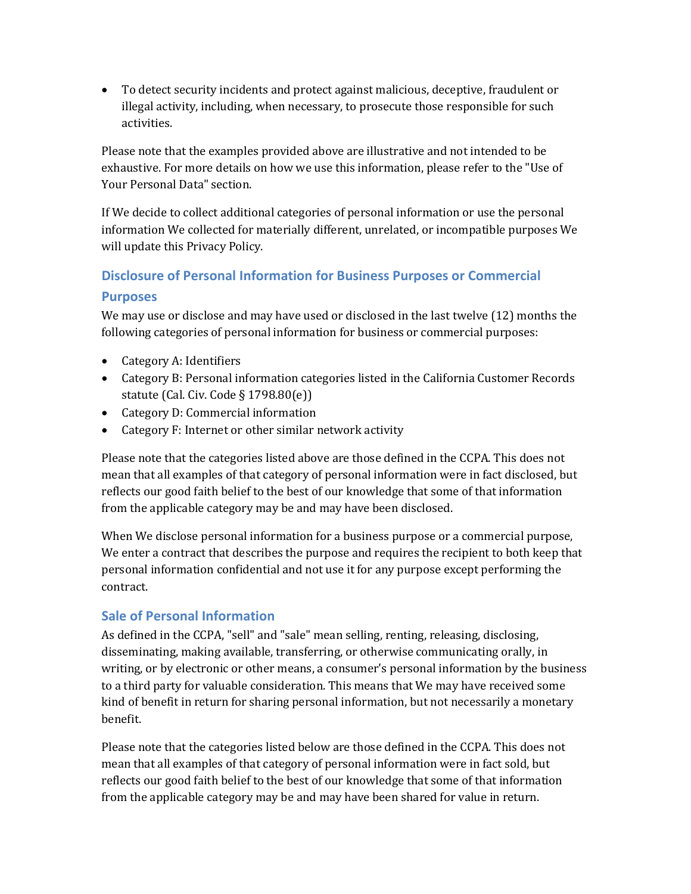• To detect security incidents and protect against malicious, deceptive, fraudulent or illegal activity, including, when necessary, to prosecute those responsible for such activities.

Please note that the examples provided above are illustrative and not intended to be exhaustive. For more details on how we use this information, please refer to the "Use of Your Personal Data" section.

If We decide to collect additional categories of personal information or use the personal information We collected for materially different, unrelated, or incompatible purposes We will update this Privacy Policy.

### **Disclosure of Personal Information for Business Purposes or Commercial**

### **Purposes**

We may use or disclose and may have used or disclosed in the last twelve (12) months the following categories of personal information for business or commercial purposes:

- Category A: Identifiers
- Category B: Personal information categories listed in the California Customer Records statute (Cal. Civ. Code § 1798.80(e))
- Category D: Commercial information
- Category F: Internet or other similar network activity

Please note that the categories listed above are those defined in the CCPA. This does not mean that all examples of that category of personal information were in fact disclosed, but reflects our good faith belief to the best of our knowledge that some of that information from the applicable category may be and may have been disclosed.

When We disclose personal information for a business purpose or a commercial purpose, We enter a contract that describes the purpose and requires the recipient to both keep that personal information confidential and not use it for any purpose except performing the contract.

### **Sale of Personal Information**

As defined in the CCPA, "sell" and "sale" mean selling, renting, releasing, disclosing, disseminating, making available, transferring, or otherwise communicating orally, in writing, or by electronic or other means, a consumer's personal information by the business to a third party for valuable consideration. This means that We may have received some kind of benefit in return for sharing personal information, but not necessarily a monetary benefit.

Please note that the categories listed below are those defined in the CCPA. This does not mean that all examples of that category of personal information were in fact sold, but reflects our good faith belief to the best of our knowledge that some of that information from the applicable category may be and may have been shared for value in return.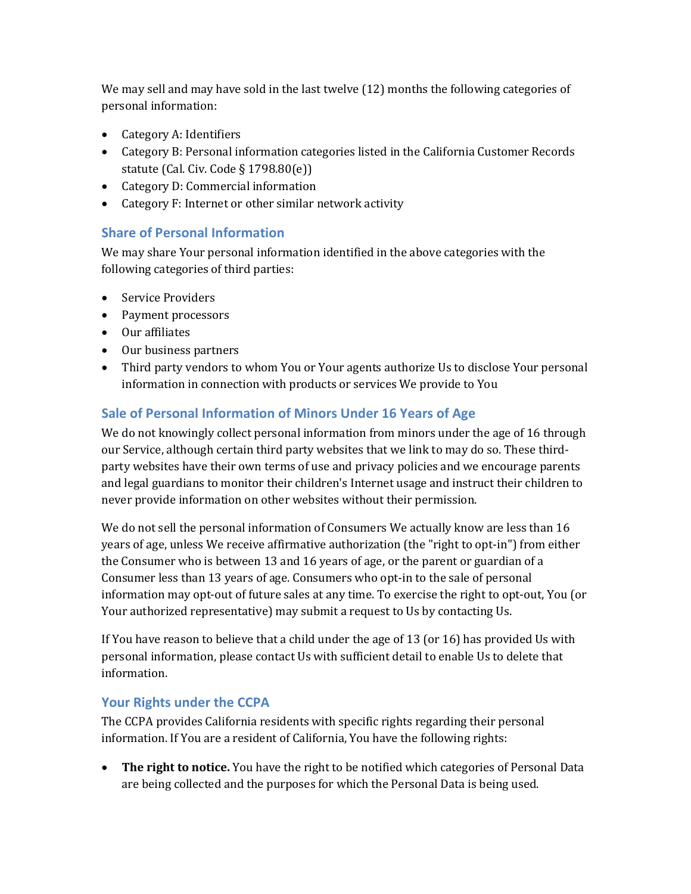We may sell and may have sold in the last twelve (12) months the following categories of personal information:

- Category A: Identifiers
- Category B: Personal information categories listed in the California Customer Records statute (Cal. Civ. Code § 1798.80(e))
- Category D: Commercial information
- Category F: Internet or other similar network activity

# **Share of Personal Information**

We may share Your personal information identified in the above categories with the following categories of third parties:

- Service Providers
- Payment processors
- Our affiliates
- Our business partners
- Third party vendors to whom You or Your agents authorize Us to disclose Your personal information in connection with products or services We provide to You

# **Sale of Personal Information of Minors Under 16 Years of Age**

We do not knowingly collect personal information from minors under the age of 16 through our Service, although certain third party websites that we link to may do so. These thirdparty websites have their own terms of use and privacy policies and we encourage parents and legal guardians to monitor their children's Internet usage and instruct their children to never provide information on other websites without their permission.

We do not sell the personal information of Consumers We actually know are less than 16 years of age, unless We receive affirmative authorization (the "right to opt-in") from either the Consumer who is between 13 and 16 years of age, or the parent or guardian of a Consumer less than 13 years of age. Consumers who opt-in to the sale of personal information may opt-out of future sales at any time. To exercise the right to opt-out, You (or Your authorized representative) may submit a request to Us by contacting Us.

If You have reason to believe that a child under the age of 13 (or 16) has provided Us with personal information, please contact Us with sufficient detail to enable Us to delete that information.

# **Your Rights under the CCPA**

The CCPA provides California residents with specific rights regarding their personal information. If You are a resident of California, You have the following rights:

• **The right to notice.** You have the right to be notified which categories of Personal Data are being collected and the purposes for which the Personal Data is being used.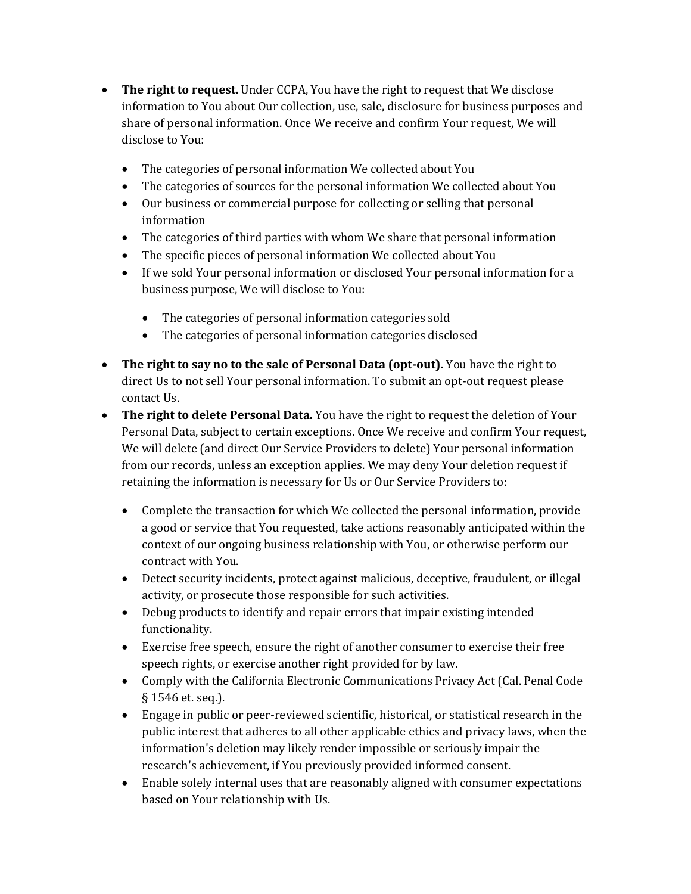- **The right to request.** Under CCPA, You have the right to request that We disclose information to You about Our collection, use, sale, disclosure for business purposes and share of personal information. Once We receive and confirm Your request, We will disclose to You:
	- The categories of personal information We collected about You
	- The categories of sources for the personal information We collected about You
	- Our business or commercial purpose for collecting or selling that personal information
	- The categories of third parties with whom We share that personal information
	- The specific pieces of personal information We collected about You
	- If we sold Your personal information or disclosed Your personal information for a business purpose, We will disclose to You:
		- The categories of personal information categories sold
		- The categories of personal information categories disclosed
- **The right to say no to the sale of Personal Data (opt-out).** You have the right to direct Us to not sell Your personal information. To submit an opt-out request please contact Us.
- **The right to delete Personal Data.** You have the right to request the deletion of Your Personal Data, subject to certain exceptions. Once We receive and confirm Your request, We will delete (and direct Our Service Providers to delete) Your personal information from our records, unless an exception applies. We may deny Your deletion request if retaining the information is necessary for Us or Our Service Providers to:
	- Complete the transaction for which We collected the personal information, provide a good or service that You requested, take actions reasonably anticipated within the context of our ongoing business relationship with You, or otherwise perform our contract with You.
	- Detect security incidents, protect against malicious, deceptive, fraudulent, or illegal activity, or prosecute those responsible for such activities.
	- Debug products to identify and repair errors that impair existing intended functionality.
	- Exercise free speech, ensure the right of another consumer to exercise their free speech rights, or exercise another right provided for by law.
	- Comply with the California Electronic Communications Privacy Act (Cal. Penal Code § 1546 et. seq.).
	- Engage in public or peer-reviewed scientific, historical, or statistical research in the public interest that adheres to all other applicable ethics and privacy laws, when the information's deletion may likely render impossible or seriously impair the research's achievement, if You previously provided informed consent.
	- Enable solely internal uses that are reasonably aligned with consumer expectations based on Your relationship with Us.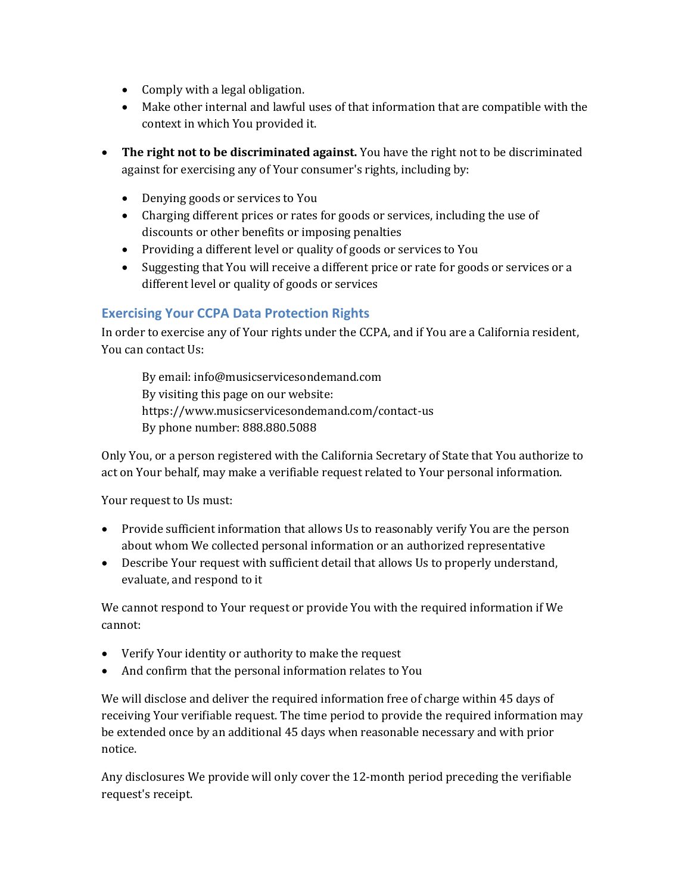- Comply with a legal obligation.
- Make other internal and lawful uses of that information that are compatible with the context in which You provided it.
- **The right not to be discriminated against.** You have the right not to be discriminated against for exercising any of Your consumer's rights, including by:
	- Denying goods or services to You
	- Charging different prices or rates for goods or services, including the use of discounts or other benefits or imposing penalties
	- Providing a different level or quality of goods or services to You
	- Suggesting that You will receive a different price or rate for goods or services or a different level or quality of goods or services

## **Exercising Your CCPA Data Protection Rights**

In order to exercise any of Your rights under the CCPA, and if You are a California resident, You can contact Us:

By email: info@musicservicesondemand.com By visiting this page on our website: <https://www.musicservicesondemand.com/contact-us> By phone number: 888.880.5088

Only You, or a person registered with the California Secretary of State that You authorize to act on Your behalf, may make a verifiable request related to Your personal information.

Your request to Us must:

- Provide sufficient information that allows Us to reasonably verify You are the person about whom We collected personal information or an authorized representative
- Describe Your request with sufficient detail that allows Us to properly understand, evaluate, and respond to it

We cannot respond to Your request or provide You with the required information if We cannot:

- Verify Your identity or authority to make the request
- And confirm that the personal information relates to You

We will disclose and deliver the required information free of charge within 45 days of receiving Your verifiable request. The time period to provide the required information may be extended once by an additional 45 days when reasonable necessary and with prior notice.

Any disclosures We provide will only cover the 12-month period preceding the verifiable request's receipt.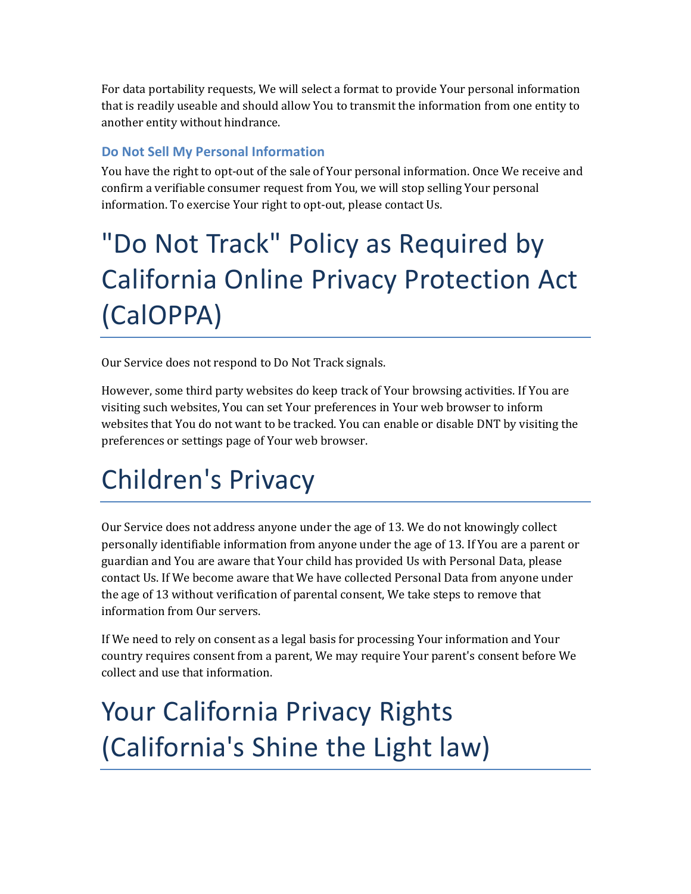For data portability requests, We will select a format to provide Your personal information that is readily useable and should allow You to transmit the information from one entity to another entity without hindrance.

# **Do Not Sell My Personal Information**

You have the right to opt-out of the sale of Your personal information. Once We receive and confirm a verifiable consumer request from You, we will stop selling Your personal information. To exercise Your right to opt-out, please contact Us.

# "Do Not Track" Policy as Required by California Online Privacy Protection Act (CalOPPA)

Our Service does not respond to Do Not Track signals.

However, some third party websites do keep track of Your browsing activities. If You are visiting such websites, You can set Your preferences in Your web browser to inform websites that You do not want to be tracked. You can enable or disable DNT by visiting the preferences or settings page of Your web browser.

# Children's Privacy

Our Service does not address anyone under the age of 13. We do not knowingly collect personally identifiable information from anyone under the age of 13. If You are a parent or guardian and You are aware that Your child has provided Us with Personal Data, please contact Us. If We become aware that We have collected Personal Data from anyone under the age of 13 without verification of parental consent, We take steps to remove that information from Our servers.

If We need to rely on consent as a legal basis for processing Your information and Your country requires consent from a parent, We may require Your parent's consent before We collect and use that information.

Your California Privacy Rights (California's Shine the Light law)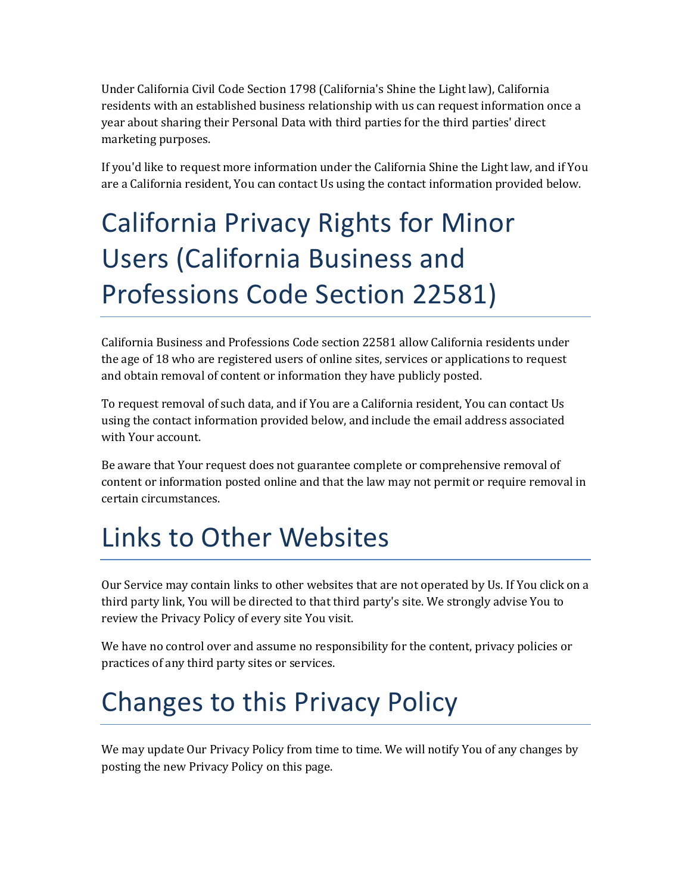Under California Civil Code Section 1798 (California's Shine the Light law), California residents with an established business relationship with us can request information once a year about sharing their Personal Data with third parties for the third parties' direct marketing purposes.

If you'd like to request more information under the California Shine the Light law, and if You are a California resident, You can contact Us using the contact information provided below.

# California Privacy Rights for Minor Users (California Business and Professions Code Section 22581)

California Business and Professions Code section 22581 allow California residents under the age of 18 who are registered users of online sites, services or applications to request and obtain removal of content or information they have publicly posted.

To request removal of such data, and if You are a California resident, You can contact Us using the contact information provided below, and include the email address associated with Your account.

Be aware that Your request does not guarantee complete or comprehensive removal of content or information posted online and that the law may not permit or require removal in certain circumstances.

# Links to Other Websites

Our Service may contain links to other websites that are not operated by Us. If You click on a third party link, You will be directed to that third party's site. We strongly advise You to review the Privacy Policy of every site You visit.

We have no control over and assume no responsibility for the content, privacy policies or practices of any third party sites or services.

# Changes to this Privacy Policy

We may update Our Privacy Policy from time to time. We will notify You of any changes by posting the new Privacy Policy on this page.